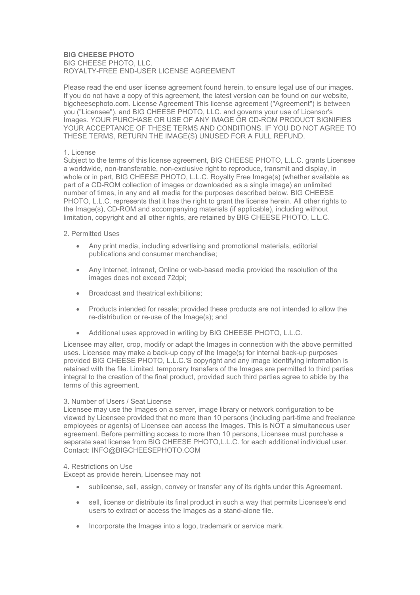# **BIG CHEESE PHOTO**  BIG CHEESE PHOTO, LLC. ROYALTY-FREE END-USER LICENSE AGREEMENT

Please read the end user license agreement found herein, to ensure legal use of our images. If you do not have a copy of this agreement, the latest version can be found on our website, bigcheesephoto.com. License Agreement This license agreement ("Agreement") is between you ("Licensee"), and BIG CHEESE PHOTO, LLC. and governs your use of Licensor's Images. YOUR PURCHASE OR USE OF ANY IMAGE OR CD-ROM PRODUCT SIGNIFIES YOUR ACCEPTANCE OF THESE TERMS AND CONDITIONS. IF YOU DO NOT AGREE TO THESE TERMS, RETURN THE IMAGE(S) UNUSED FOR A FULL REFUND.

# 1. License

Subject to the terms of this license agreement, BIG CHEESE PHOTO, L.L.C. grants Licensee a worldwide, non-transferable, non-exclusive right to reproduce, transmit and display, in whole or in part, BIG CHEESE PHOTO, L.L.C. Royalty Free Image(s) (whether available as part of a CD-ROM collection of images or downloaded as a single image) an unlimited number of times, in any and all media for the purposes described below. BIG CHEESE PHOTO, L.L.C. represents that it has the right to grant the license herein. All other rights to the Image(s), CD-ROM and accompanying materials (if applicable), including without limitation, copyright and all other rights, are retained by BIG CHEESE PHOTO, L.L.C.

# 2. Permitted Uses

- Any print media, including advertising and promotional materials, editorial publications and consumer merchandise;
- Any Internet, intranet, Online or web-based media provided the resolution of the images does not exceed 72dpi;
- Broadcast and theatrical exhibitions;
- Products intended for resale; provided these products are not intended to allow the re-distribution or re-use of the Image(s); and
- Additional uses approved in writing by BIG CHEESE PHOTO, L.L.C.

Licensee may alter, crop, modify or adapt the Images in connection with the above permitted uses. Licensee may make a back-up copy of the Image(s) for internal back-up purposes provided BIG CHEESE PHOTO, L.L.C.'S copyright and any image identifying information is retained with the file. Limited, temporary transfers of the Images are permitted to third parties integral to the creation of the final product, provided such third parties agree to abide by the terms of this agreement.

### 3. Number of Users / Seat License

Licensee may use the Images on a server, image library or network configuration to be viewed by Licensee provided that no more than 10 persons (including part-time and freelance employees or agents) of Licensee can access the Images. This is NOT a simultaneous user agreement. Before permitting access to more than 10 persons, Licensee must purchase a separate seat license from BIG CHEESE PHOTO,L.L.C. for each additional individual user. Contact: INFO@BIGCHEESEPHOTO.COM

### 4. Restrictions on Use

Except as provide herein, Licensee may not

- sublicense, sell, assign, convey or transfer any of its rights under this Agreement.
- sell, license or distribute its final product in such a way that permits Licensee's end users to extract or access the Images as a stand-alone file.
- Incorporate the Images into a logo, trademark or service mark.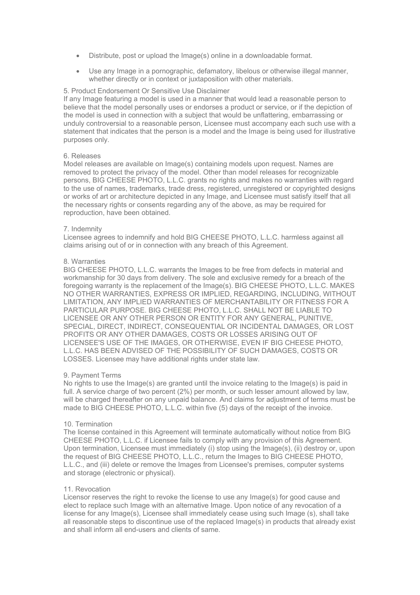- Distribute, post or upload the Image(s) online in a downloadable format.
- Use any Image in a pornographic, defamatory, libelous or otherwise illegal manner, whether directly or in context or juxtaposition with other materials.

### 5. Product Endorsement Or Sensitive Use Disclaimer

If any Image featuring a model is used in a manner that would lead a reasonable person to believe that the model personally uses or endorses a product or service, or if the depiction of the model is used in connection with a subject that would be unflattering, embarrassing or unduly controversial to a reasonable person, Licensee must accompany each such use with a statement that indicates that the person is a model and the Image is being used for illustrative purposes only.

### 6. Releases

Model releases are available on Image(s) containing models upon request. Names are removed to protect the privacy of the model. Other than model releases for recognizable persons, BIG CHEESE PHOTO, L.L.C. grants no rights and makes no warranties with regard to the use of names, trademarks, trade dress, registered, unregistered or copyrighted designs or works of art or architecture depicted in any Image, and Licensee must satisfy itself that all the necessary rights or consents regarding any of the above, as may be required for reproduction, have been obtained.

### 7. Indemnity

Licensee agrees to indemnify and hold BIG CHEESE PHOTO, L.L.C. harmless against all claims arising out of or in connection with any breach of this Agreement.

# 8. Warranties

BIG CHEESE PHOTO, L.L.C. warrants the Images to be free from defects in material and workmanship for 30 days from delivery. The sole and exclusive remedy for a breach of the foregoing warranty is the replacement of the Image(s). BIG CHEESE PHOTO, L.L.C. MAKES NO OTHER WARRANTIES, EXPRESS OR IMPLIED, REGARDING, INCLUDING, WITHOUT LIMITATION, ANY IMPLIED WARRANTIES OF MERCHANTABILITY OR FITNESS FOR A PARTICULAR PURPOSE. BIG CHEESE PHOTO, L.L.C. SHALL NOT BE LIABLE TO LICENSEE OR ANY OTHER PERSON OR ENTITY FOR ANY GENERAL, PUNITIVE, SPECIAL, DIRECT, INDIRECT, CONSEQUENTIAL OR INCIDENTAL DAMAGES, OR LOST PROFITS OR ANY OTHER DAMAGES, COSTS OR LOSSES ARISING OUT OF LICENSEE'S USE OF THE IMAGES, OR OTHERWISE, EVEN IF BIG CHEESE PHOTO, L.L.C. HAS BEEN ADVISED OF THE POSSIBILITY OF SUCH DAMAGES, COSTS OR LOSSES. Licensee may have additional rights under state law.

### 9. Payment Terms

No rights to use the Image(s) are granted until the invoice relating to the Image(s) is paid in full. A service charge of two percent (2%) per month, or such lesser amount allowed by law, will be charged thereafter on any unpaid balance. And claims for adjustment of terms must be made to BIG CHEESE PHOTO, L.L.C. within five (5) days of the receipt of the invoice.

### 10. Termination

The license contained in this Agreement will terminate automatically without notice from BIG CHEESE PHOTO, L.L.C. if Licensee fails to comply with any provision of this Agreement. Upon termination, Licensee must immediately (i) stop using the Image(s), (ii) destroy or, upon the request of BIG CHEESE PHOTO, L.L.C., return the Images to BIG CHEESE PHOTO, L.L.C., and (iii) delete or remove the Images from Licensee's premises, computer systems and storage (electronic or physical).

### 11. Revocation

Licensor reserves the right to revoke the license to use any Image(s) for good cause and elect to replace such Image with an alternative Image. Upon notice of any revocation of a license for any Image(s), Licensee shall immediately cease using such Image (s), shall take all reasonable steps to discontinue use of the replaced Image(s) in products that already exist and shall inform all end-users and clients of same.